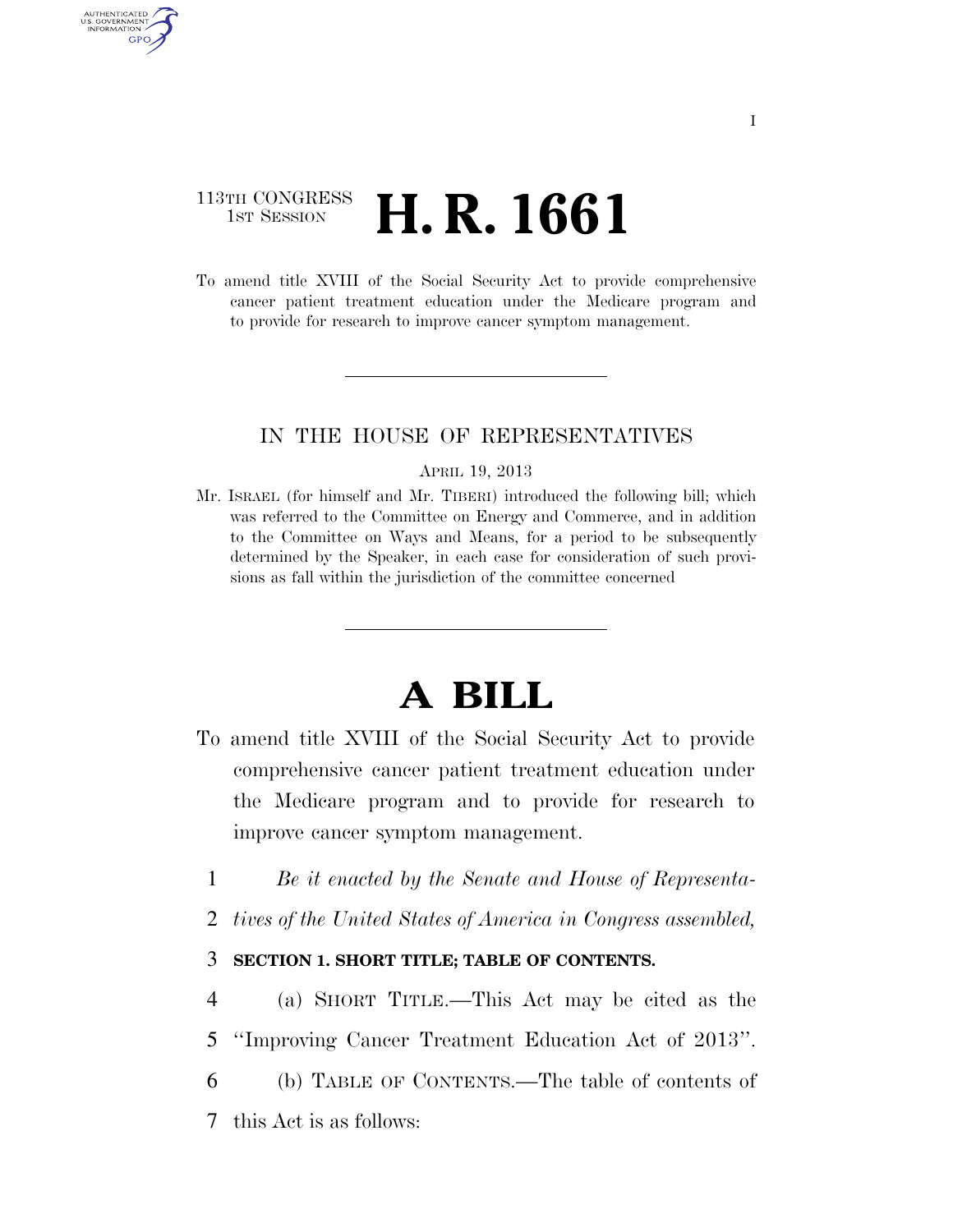## 113TH CONGRESS **1st Session H. R. 1661**

AUTHENTICATED U.S. GOVERNMENT GPO

> To amend title XVIII of the Social Security Act to provide comprehensive cancer patient treatment education under the Medicare program and to provide for research to improve cancer symptom management.

## IN THE HOUSE OF REPRESENTATIVES

#### APRIL 19, 2013

Mr. ISRAEL (for himself and Mr. TIBERI) introduced the following bill; which was referred to the Committee on Energy and Commerce, and in addition to the Committee on Ways and Means, for a period to be subsequently determined by the Speaker, in each case for consideration of such provisions as fall within the jurisdiction of the committee concerned

# **A BILL**

- To amend title XVIII of the Social Security Act to provide comprehensive cancer patient treatment education under the Medicare program and to provide for research to improve cancer symptom management.
	- 1 *Be it enacted by the Senate and House of Representa-*
	- 2 *tives of the United States of America in Congress assembled,*

### 3 **SECTION 1. SHORT TITLE; TABLE OF CONTENTS.**

- 4 (a) SHORT TITLE.—This Act may be cited as the 5 ''Improving Cancer Treatment Education Act of 2013''.
- 6 (b) TABLE OF CONTENTS.—The table of contents of 7 this Act is as follows: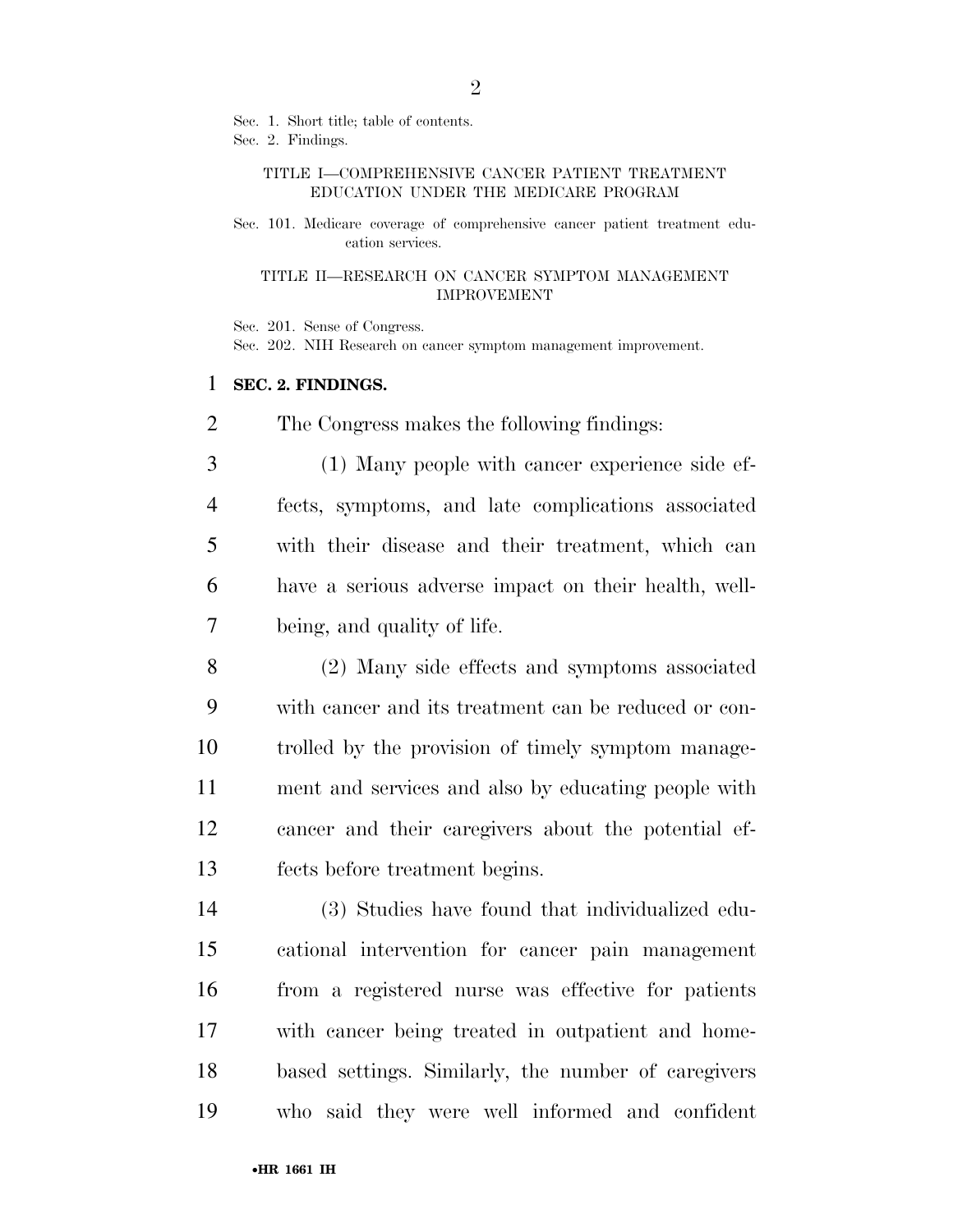Sec. 1. Short title; table of contents.

Sec. 2. Findings.

#### TITLE I—COMPREHENSIVE CANCER PATIENT TREATMENT EDUCATION UNDER THE MEDICARE PROGRAM

Sec. 101. Medicare coverage of comprehensive cancer patient treatment education services.

#### TITLE II—RESEARCH ON CANCER SYMPTOM MANAGEMENT IMPROVEMENT

Sec. 201. Sense of Congress.

Sec. 202. NIH Research on cancer symptom management improvement.

### **SEC. 2. FINDINGS.**

The Congress makes the following findings:

 (1) Many people with cancer experience side ef- fects, symptoms, and late complications associated with their disease and their treatment, which can have a serious adverse impact on their health, well-being, and quality of life.

 (2) Many side effects and symptoms associated with cancer and its treatment can be reduced or con- trolled by the provision of timely symptom manage- ment and services and also by educating people with cancer and their caregivers about the potential ef-fects before treatment begins.

 (3) Studies have found that individualized edu- cational intervention for cancer pain management from a registered nurse was effective for patients with cancer being treated in outpatient and home- based settings. Similarly, the number of caregivers who said they were well informed and confident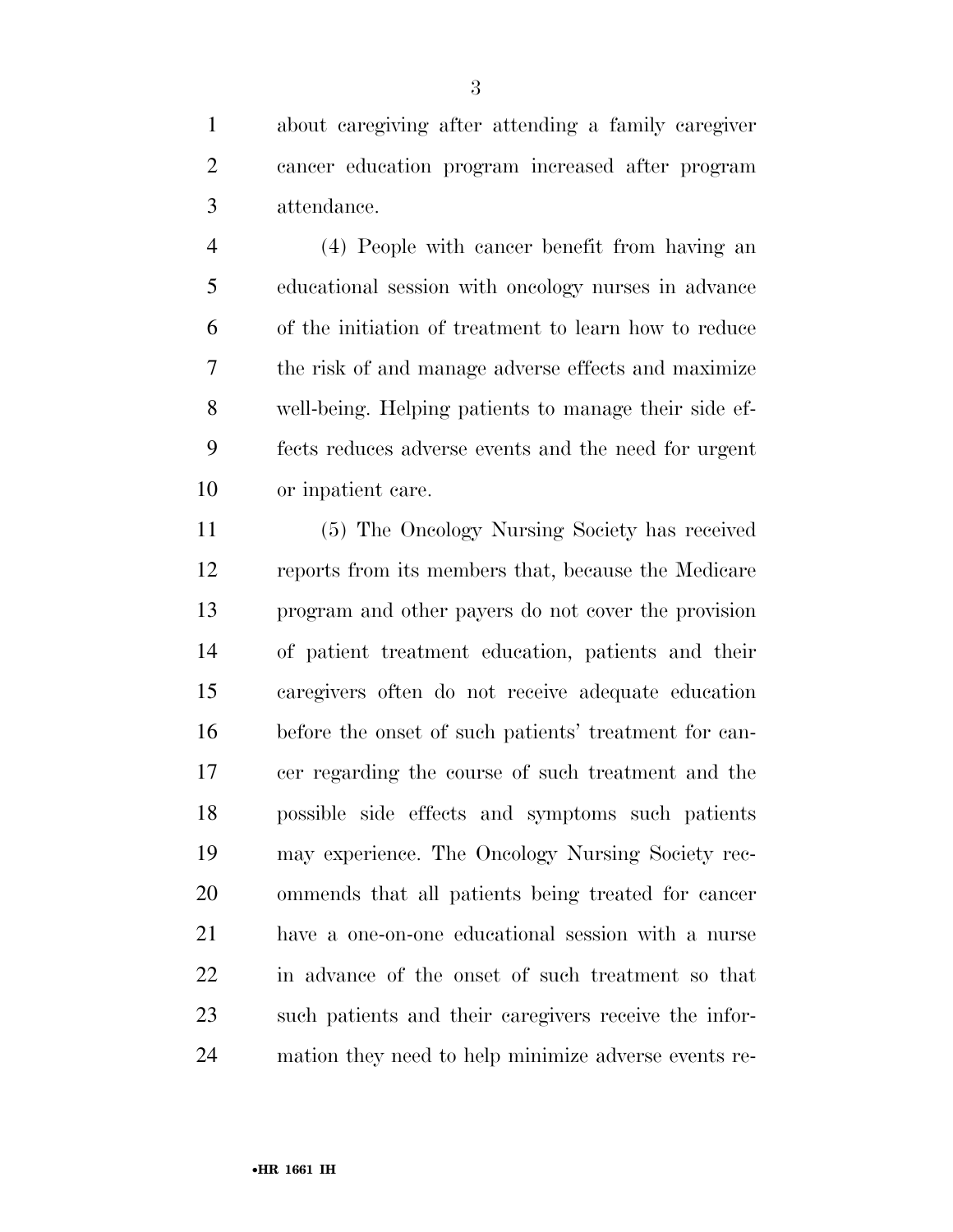about caregiving after attending a family caregiver cancer education program increased after program attendance.

 (4) People with cancer benefit from having an educational session with oncology nurses in advance of the initiation of treatment to learn how to reduce the risk of and manage adverse effects and maximize well-being. Helping patients to manage their side ef- fects reduces adverse events and the need for urgent or inpatient care.

 (5) The Oncology Nursing Society has received reports from its members that, because the Medicare program and other payers do not cover the provision of patient treatment education, patients and their caregivers often do not receive adequate education before the onset of such patients' treatment for can- cer regarding the course of such treatment and the possible side effects and symptoms such patients may experience. The Oncology Nursing Society rec- ommends that all patients being treated for cancer have a one-on-one educational session with a nurse in advance of the onset of such treatment so that such patients and their caregivers receive the infor-mation they need to help minimize adverse events re-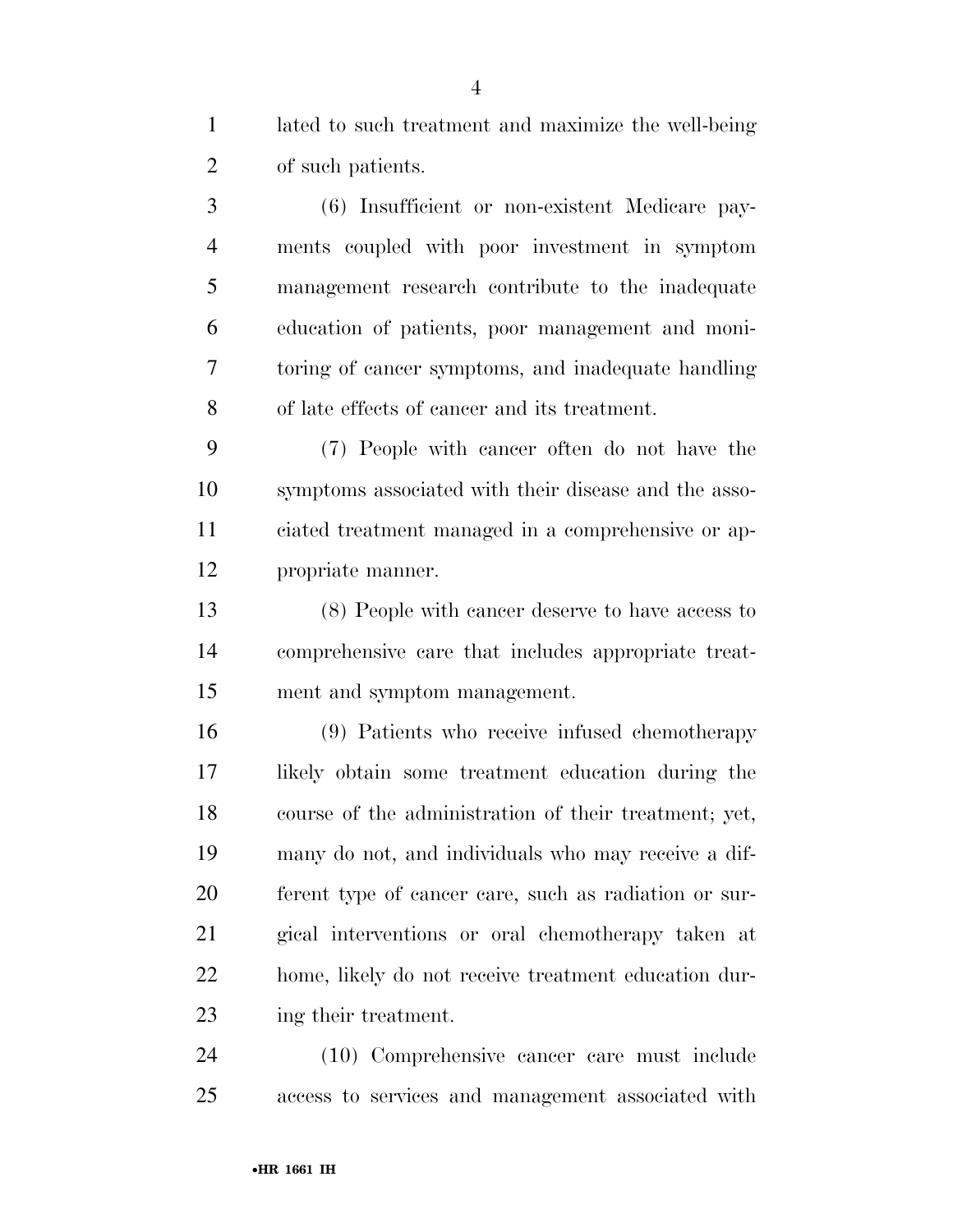lated to such treatment and maximize the well-being of such patients.

 (6) Insufficient or non-existent Medicare pay- ments coupled with poor investment in symptom management research contribute to the inadequate education of patients, poor management and moni- toring of cancer symptoms, and inadequate handling of late effects of cancer and its treatment.

 (7) People with cancer often do not have the symptoms associated with their disease and the asso- ciated treatment managed in a comprehensive or ap-propriate manner.

 (8) People with cancer deserve to have access to comprehensive care that includes appropriate treat-ment and symptom management.

 (9) Patients who receive infused chemotherapy likely obtain some treatment education during the course of the administration of their treatment; yet, many do not, and individuals who may receive a dif- ferent type of cancer care, such as radiation or sur- gical interventions or oral chemotherapy taken at home, likely do not receive treatment education dur-ing their treatment.

 (10) Comprehensive cancer care must include access to services and management associated with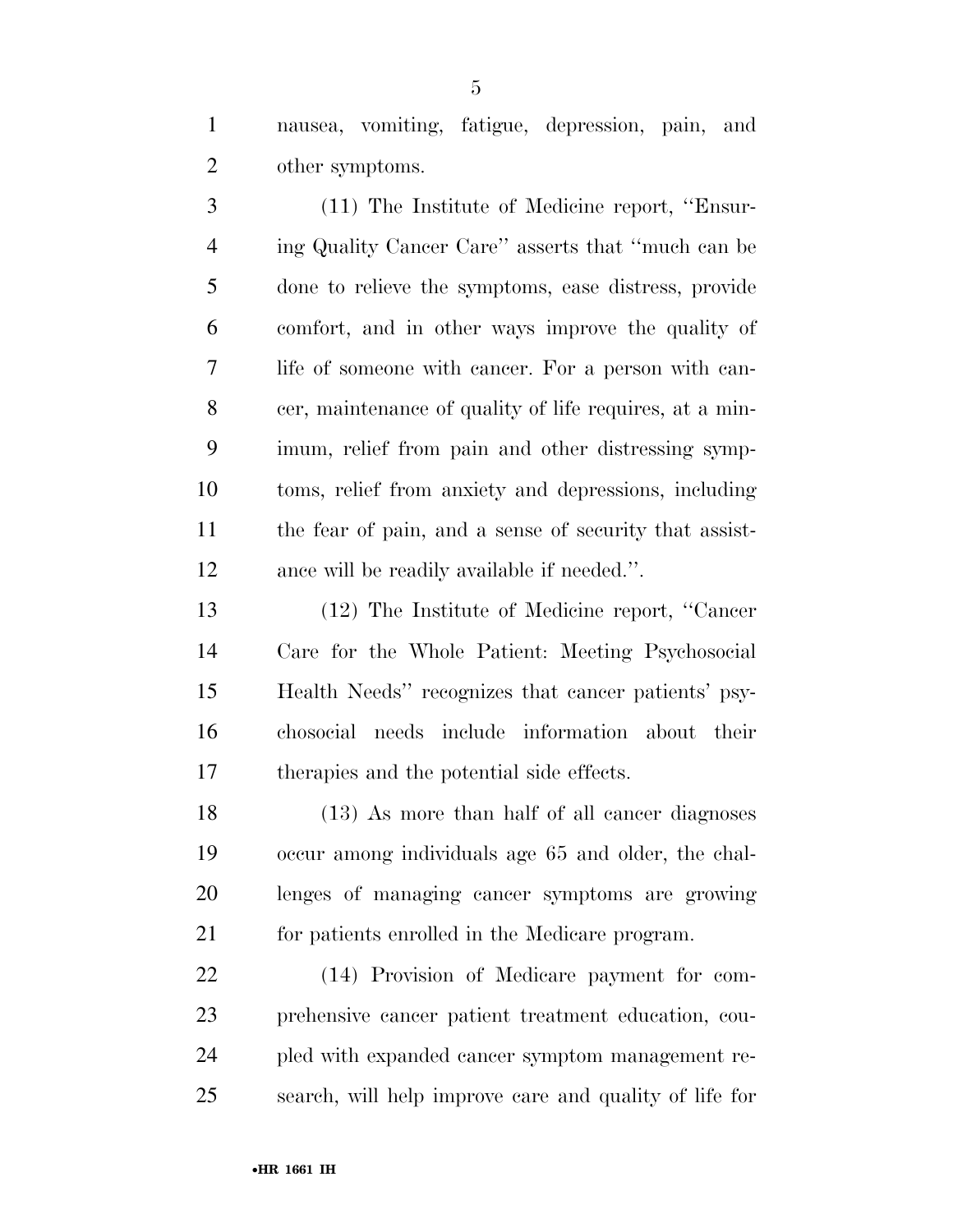nausea, vomiting, fatigue, depression, pain, and other symptoms.

 (11) The Institute of Medicine report, ''Ensur- ing Quality Cancer Care'' asserts that ''much can be done to relieve the symptoms, ease distress, provide comfort, and in other ways improve the quality of life of someone with cancer. For a person with can- cer, maintenance of quality of life requires, at a min- imum, relief from pain and other distressing symp- toms, relief from anxiety and depressions, including the fear of pain, and a sense of security that assist-ance will be readily available if needed.''.

 (12) The Institute of Medicine report, ''Cancer Care for the Whole Patient: Meeting Psychosocial Health Needs'' recognizes that cancer patients' psy- chosocial needs include information about their therapies and the potential side effects.

 (13) As more than half of all cancer diagnoses occur among individuals age 65 and older, the chal- lenges of managing cancer symptoms are growing for patients enrolled in the Medicare program.

 (14) Provision of Medicare payment for com- prehensive cancer patient treatment education, cou- pled with expanded cancer symptom management re-search, will help improve care and quality of life for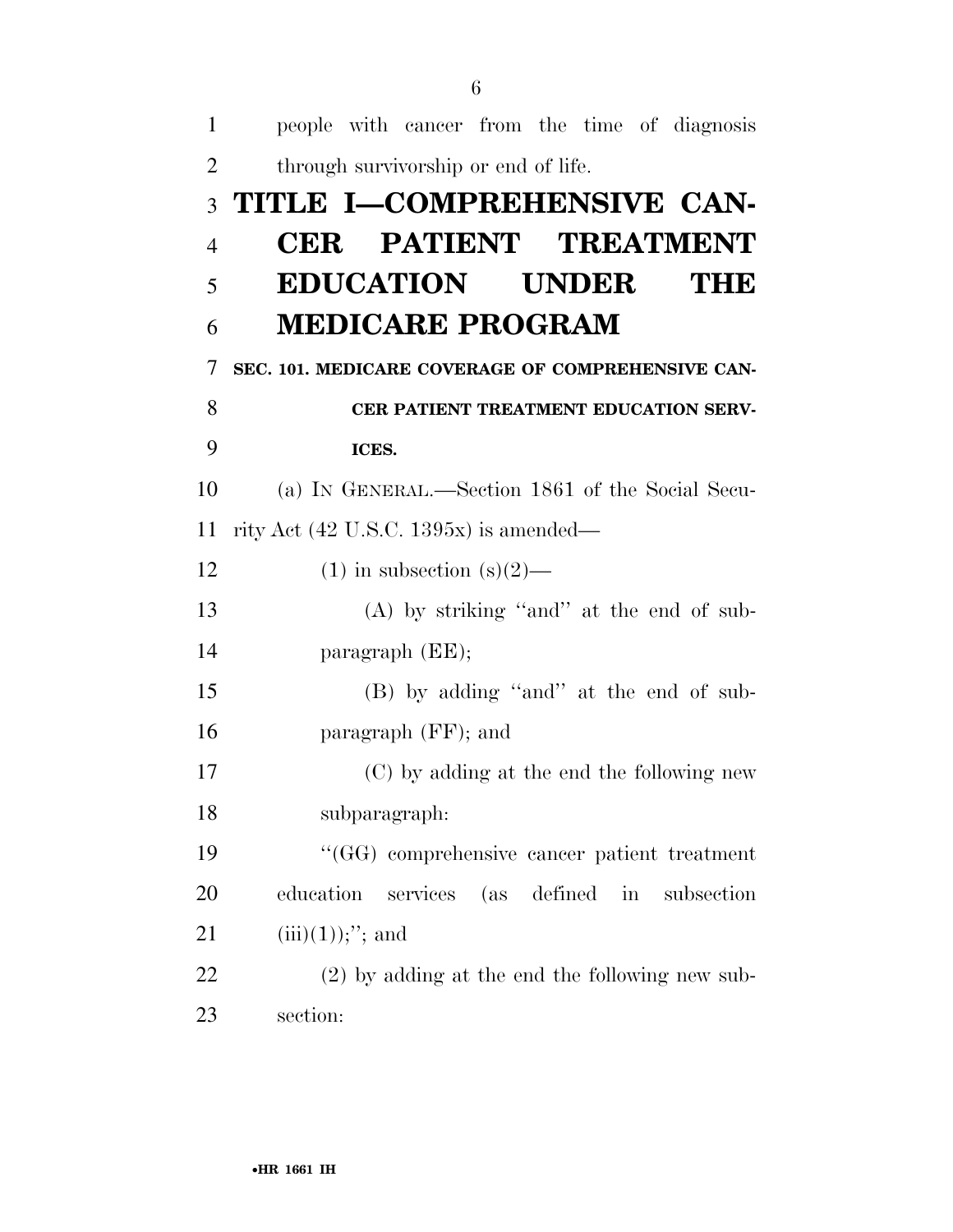| $\mathbf{1}$   | people with cancer from the time of diagnosis         |
|----------------|-------------------------------------------------------|
| $\overline{2}$ | through survivorship or end of life.                  |
| 3              | TITLE I-COMPREHENSIVE CAN-                            |
| $\overline{4}$ | <b>CER PATIENT TREATMENT</b>                          |
| 5              | <b>EDUCATION UNDER</b><br><b>MHID</b>                 |
| 6              | <b>MEDICARE PROGRAM</b>                               |
| $\overline{7}$ | SEC. 101. MEDICARE COVERAGE OF COMPREHENSIVE CAN-     |
| 8              | CER PATIENT TREATMENT EDUCATION SERV-                 |
| 9              | ICES.                                                 |
| 10             | (a) IN GENERAL.—Section 1861 of the Social Secu-      |
| 11             | rity Act $(42 \text{ U.S.C. } 1395x)$ is amended—     |
| 12             | $(1)$ in subsection $(s)(2)$ —                        |
| 13             | $(A)$ by striking "and" at the end of sub-            |
| 14             | $\text{param}$ (EE);                                  |
| 15             | (B) by adding "and" at the end of sub-                |
| 16             | paragraph (FF); and                                   |
| 17             | (C) by adding at the end the following new            |
| 18             | subparagraph:                                         |
| 19             | "(GG) comprehensive cancer patient treatment          |
| 20             | services<br>(as defined in<br>education<br>subsection |
| 21             | $(iii)(1));$ "; and                                   |
| 22             | $(2)$ by adding at the end the following new sub-     |
| 23             | section:                                              |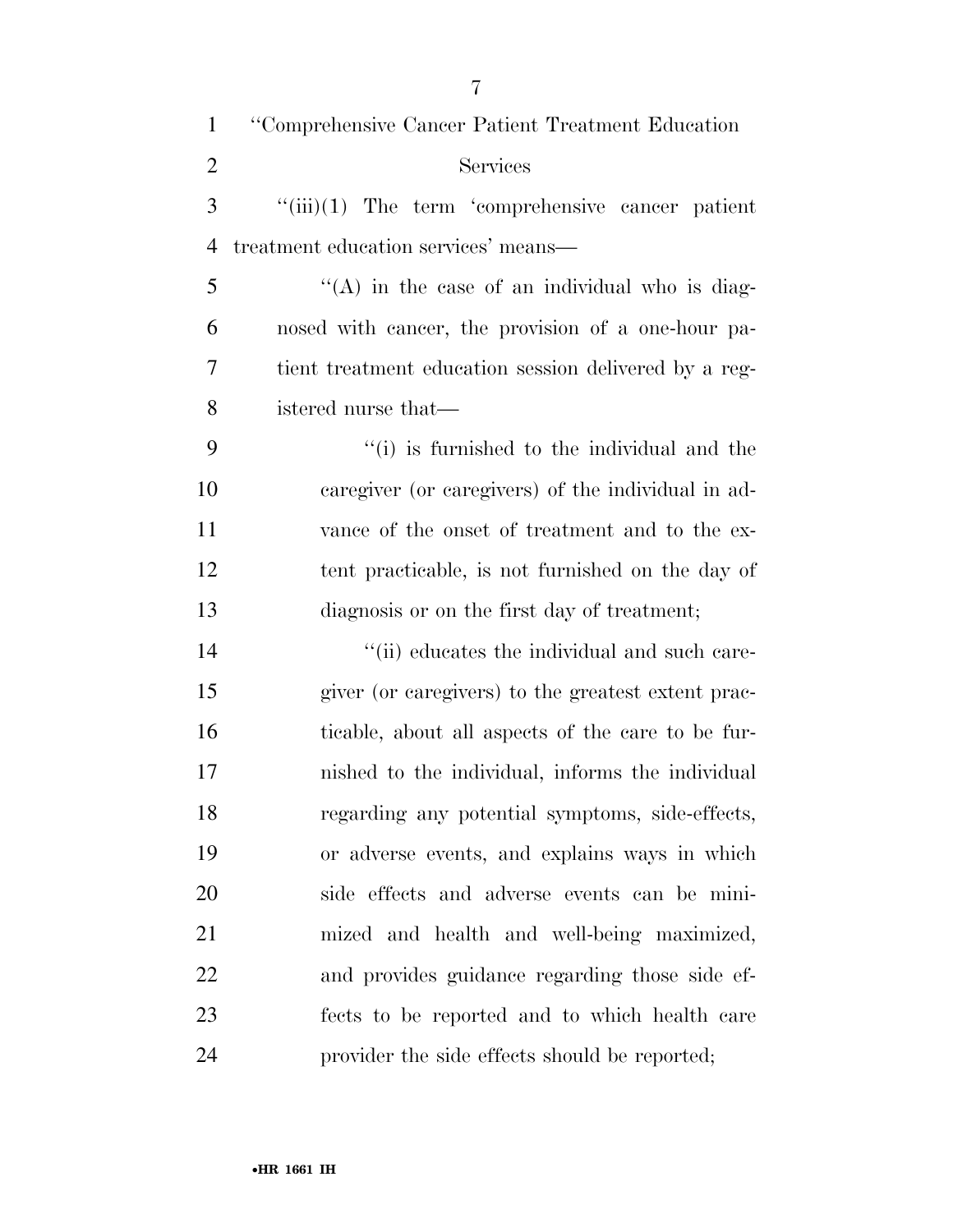| $\mathbf{1}$   | "Comprehensive Cancer Patient Treatment Education     |
|----------------|-------------------------------------------------------|
| $\overline{2}$ | Services                                              |
| 3              | $``(iii)(1)$ The term 'comprehensive cancer patient   |
| $\overline{4}$ | treatment education services' means—                  |
| 5              | $H(A)$ in the case of an individual who is diag-      |
| 6              | nosed with cancer, the provision of a one-hour pa-    |
| 7              | tient treatment education session delivered by a reg- |
| 8              | istered nurse that—                                   |
| 9              | "(i) is furnished to the individual and the           |
| 10             | caregiver (or caregivers) of the individual in ad-    |
| 11             | vance of the onset of treatment and to the ex-        |
| 12             | tent practicable, is not furnished on the day of      |
| 13             | diagnosis or on the first day of treatment;           |
| 14             | "(ii) educates the individual and such care-          |
| 15             | giver (or caregivers) to the greatest extent prac-    |
| 16             | ticable, about all aspects of the care to be fur-     |
| 17             | nished to the individual, informs the individual      |
| 18             | regarding any potential symptoms, side-effects,       |
| 19             | or adverse events, and explains ways in which         |
| 20             | side effects and adverse events can be mini-          |
| 21             | mized and health and well-being maximized,            |
| 22             | and provides guidance regarding those side ef-        |
| 23             | fects to be reported and to which health care         |
| 24             | provider the side effects should be reported;         |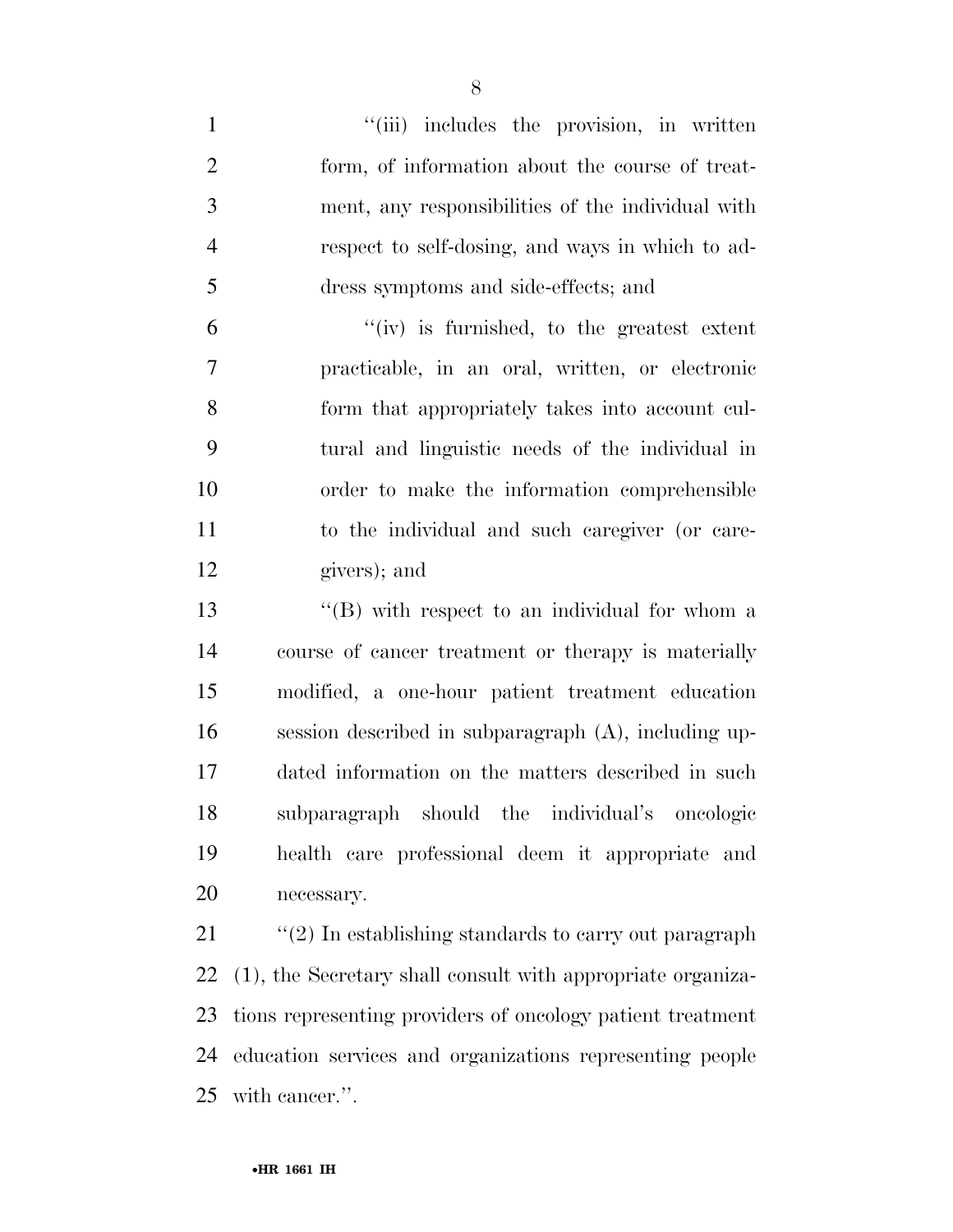1 ''(iii) includes the provision, in written form, of information about the course of treat- ment, any responsibilities of the individual with respect to self-dosing, and ways in which to ad-dress symptoms and side-effects; and

 $^{\prime\prime}$  (iv) is furnished, to the greatest extent practicable, in an oral, written, or electronic form that appropriately takes into account cul- tural and linguistic needs of the individual in order to make the information comprehensible to the individual and such caregiver (or care-givers); and

13 ''(B) with respect to an individual for whom a course of cancer treatment or therapy is materially modified, a one-hour patient treatment education session described in subparagraph (A), including up- dated information on the matters described in such subparagraph should the individual's oncologic health care professional deem it appropriate and necessary.

21 ''(2) In establishing standards to carry out paragraph (1), the Secretary shall consult with appropriate organiza- tions representing providers of oncology patient treatment education services and organizations representing people with cancer.''.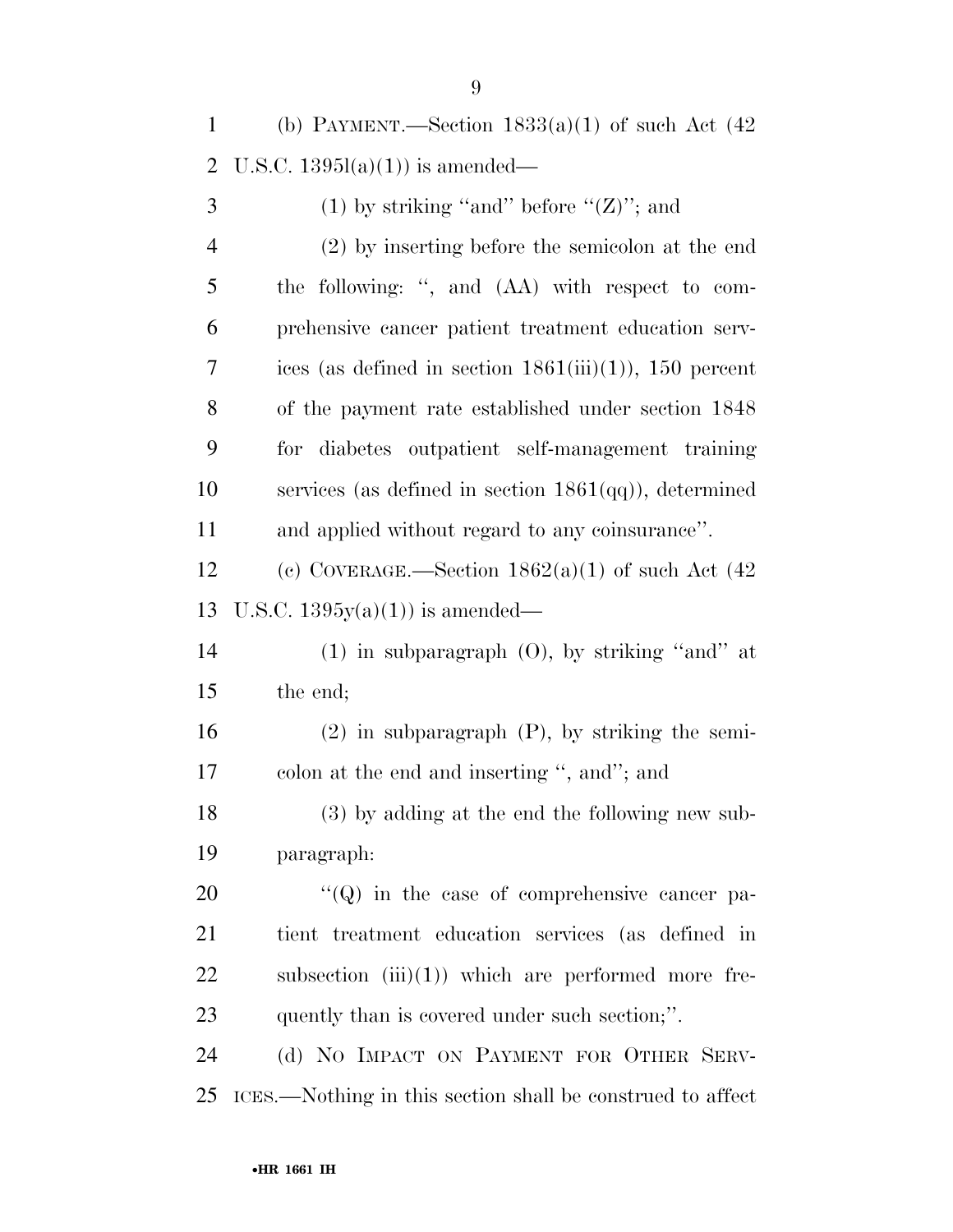1 (b) PAYMENT.—Section  $1833(a)(1)$  of such Act  $(42)$ U.S.C. 1395l(a)(1)) is amended—

| 3              | (1) by striking "and" before " $(Z)$ "; and                |
|----------------|------------------------------------------------------------|
| $\overline{4}$ | (2) by inserting before the semicolon at the end           |
| 5              | the following: ", and (AA) with respect to com-            |
| 6              | prehensive cancer patient treatment education serv-        |
| 7              | ices (as defined in section $1861(iii)(1)$ ), 150 percent  |
| 8              | of the payment rate established under section 1848         |
| 9              | for diabetes outpatient self-management training           |
| 10             | services (as defined in section $1861(qq)$ ), determined   |
| 11             | and applied without regard to any coinsurance".            |
| 12             | (c) COVERAGE.—Section $1862(a)(1)$ of such Act $(42)$      |
| 13             | U.S.C. $1395y(a)(1)$ is amended—                           |
| 14             | $(1)$ in subparagraph $(0)$ , by striking "and" at         |
| 15             | the end;                                                   |
| 16             | $(2)$ in subparagraph $(P)$ , by striking the semi-        |
| 17             | colon at the end and inserting ", and"; and                |
| 18             | (3) by adding at the end the following new sub-            |
| 19             | paragraph:                                                 |
| 20             | $\lq\lq (Q)$ in the case of comprehensive cancer pa-       |
| 21             | tient treatment education services (as defined in          |
| 22             | subsection $(iii)(1)$ which are performed more fre-        |
| 23             | quently than is covered under such section;".              |
| 24             | (d) NO IMPACT ON PAYMENT FOR OTHER SERV-                   |
| 25             | ICES.—Nothing in this section shall be construed to affect |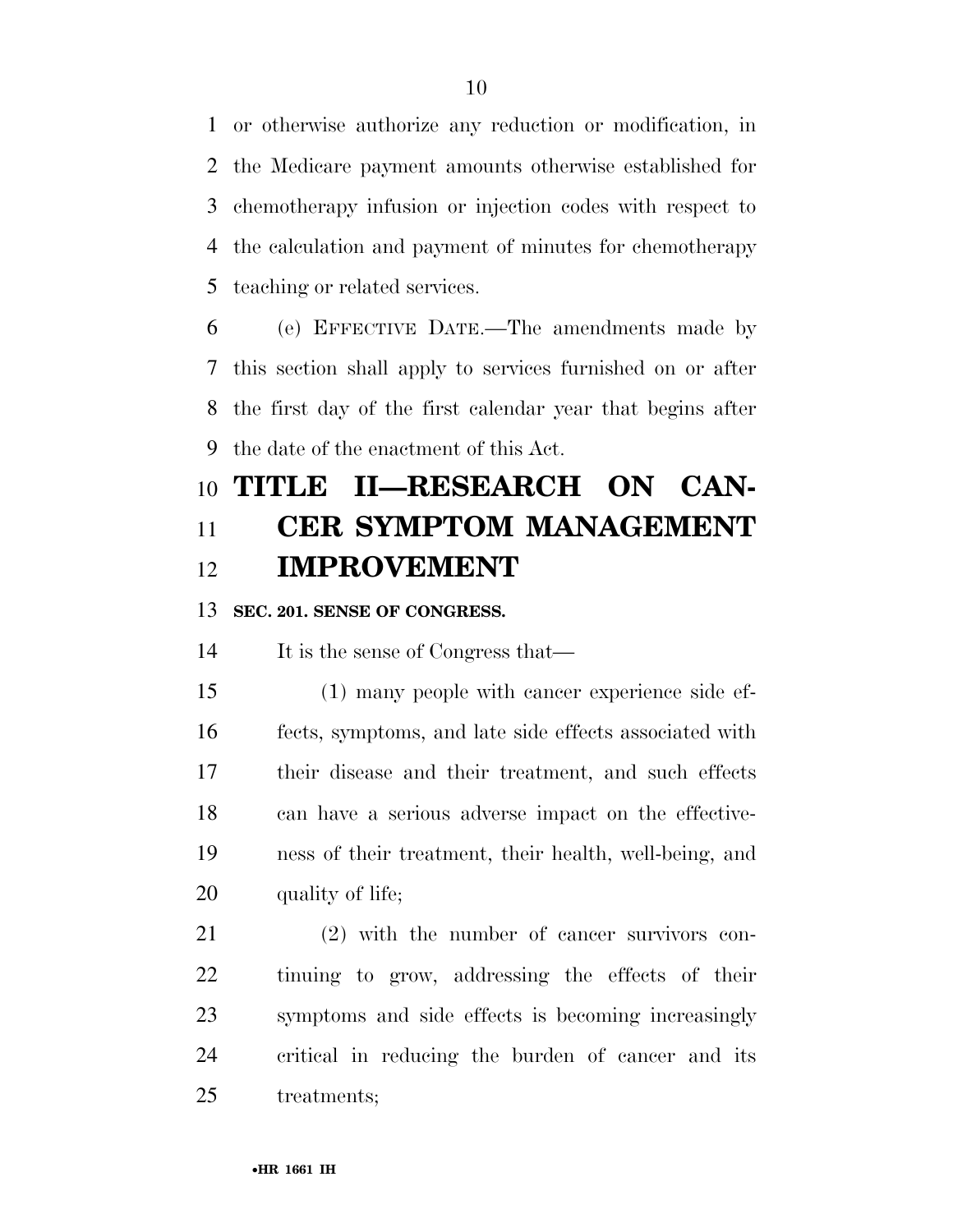or otherwise authorize any reduction or modification, in the Medicare payment amounts otherwise established for chemotherapy infusion or injection codes with respect to the calculation and payment of minutes for chemotherapy teaching or related services.

 (e) EFFECTIVE DATE.—The amendments made by this section shall apply to services furnished on or after the first day of the first calendar year that begins after the date of the enactment of this Act.

## **TITLE II—RESEARCH ON CAN- CER SYMPTOM MANAGEMENT IMPROVEMENT**

## **SEC. 201. SENSE OF CONGRESS.**

It is the sense of Congress that—

 (1) many people with cancer experience side ef- fects, symptoms, and late side effects associated with their disease and their treatment, and such effects can have a serious adverse impact on the effective- ness of their treatment, their health, well-being, and 20 quality of life;

 (2) with the number of cancer survivors con- tinuing to grow, addressing the effects of their symptoms and side effects is becoming increasingly critical in reducing the burden of cancer and its treatments;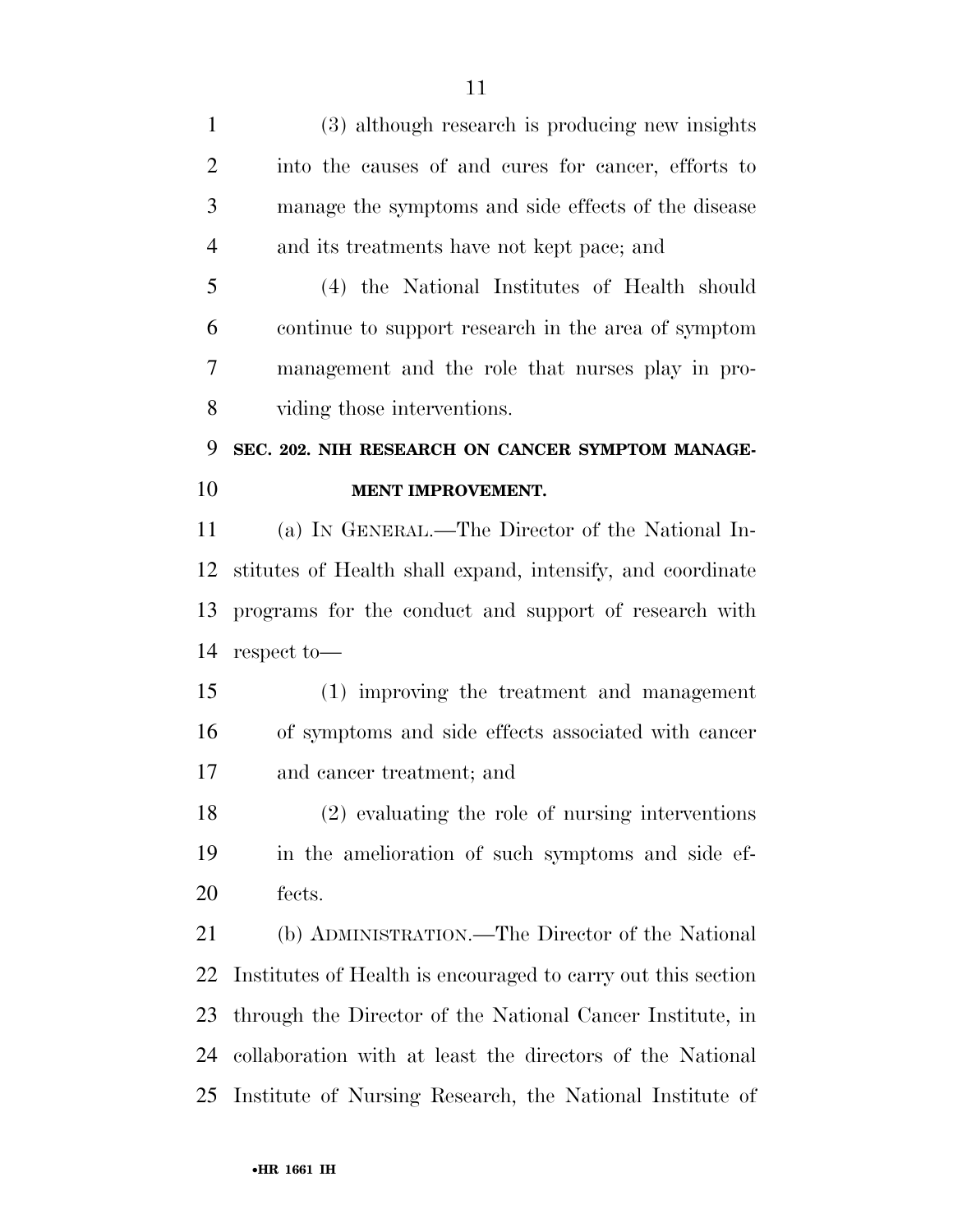(3) although research is producing new insights into the causes of and cures for cancer, efforts to manage the symptoms and side effects of the disease and its treatments have not kept pace; and (4) the National Institutes of Health should

 continue to support research in the area of symptom management and the role that nurses play in pro-viding those interventions.

## **SEC. 202. NIH RESEARCH ON CANCER SYMPTOM MANAGE-MENT IMPROVEMENT.**

 (a) IN GENERAL.—The Director of the National In- stitutes of Health shall expand, intensify, and coordinate programs for the conduct and support of research with respect to—

 (1) improving the treatment and management of symptoms and side effects associated with cancer and cancer treatment; and

 (2) evaluating the role of nursing interventions in the amelioration of such symptoms and side ef-fects.

 (b) ADMINISTRATION.—The Director of the National Institutes of Health is encouraged to carry out this section through the Director of the National Cancer Institute, in collaboration with at least the directors of the National Institute of Nursing Research, the National Institute of